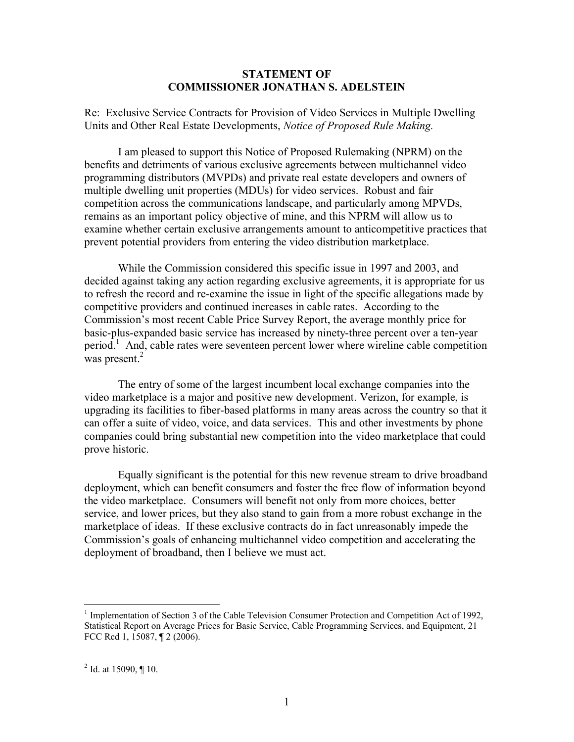## **STATEMENT OF COMMISSIONER JONATHAN S. ADELSTEIN**

Re: Exclusive Service Contracts for Provision of Video Services in Multiple Dwelling Units and Other Real Estate Developments, *Notice of Proposed Rule Making.*

I am pleased to support this Notice of Proposed Rulemaking (NPRM) on the benefits and detriments of various exclusive agreements between multichannel video programming distributors (MVPDs) and private real estate developers and owners of multiple dwelling unit properties (MDUs) for video services. Robust and fair competition across the communications landscape, and particularly among MPVDs, remains as an important policy objective of mine, and this NPRM will allow us to examine whether certain exclusive arrangements amount to anticompetitive practices that prevent potential providers from entering the video distribution marketplace.

While the Commission considered this specific issue in 1997 and 2003, and decided against taking any action regarding exclusive agreements, it is appropriate for us to refresh the record and re-examine the issue in light of the specific allegations made by competitive providers and continued increases in cable rates. According to the Commission's most recent Cable Price Survey Report, the average monthly price for basic-plus-expanded basic service has increased by ninety-three percent over a ten-year period.<sup>1</sup> And, cable rates were seventeen percent lower where wireline cable competition was present.<sup>2</sup>

The entry of some of the largest incumbent local exchange companies into the video marketplace is a major and positive new development. Verizon, for example, is upgrading its facilities to fiber-based platforms in many areas across the country so that it can offer a suite of video, voice, and data services. This and other investments by phone companies could bring substantial new competition into the video marketplace that could prove historic.

Equally significant is the potential for this new revenue stream to drive broadband deployment, which can benefit consumers and foster the free flow of information beyond the video marketplace. Consumers will benefit not only from more choices, better service, and lower prices, but they also stand to gain from a more robust exchange in the marketplace of ideas. If these exclusive contracts do in fact unreasonably impede the Commission's goals of enhancing multichannel video competition and accelerating the deployment of broadband, then I believe we must act.

<sup>&</sup>lt;sup>1</sup> Implementation of Section 3 of the Cable Television Consumer Protection and Competition Act of 1992, Statistical Report on Average Prices for Basic Service, Cable Programming Services, and Equipment, 21 FCC Rcd 1, 15087, ¶ 2 (2006).

<sup>&</sup>lt;sup>2</sup> Id. at 15090,  $\P$  10.